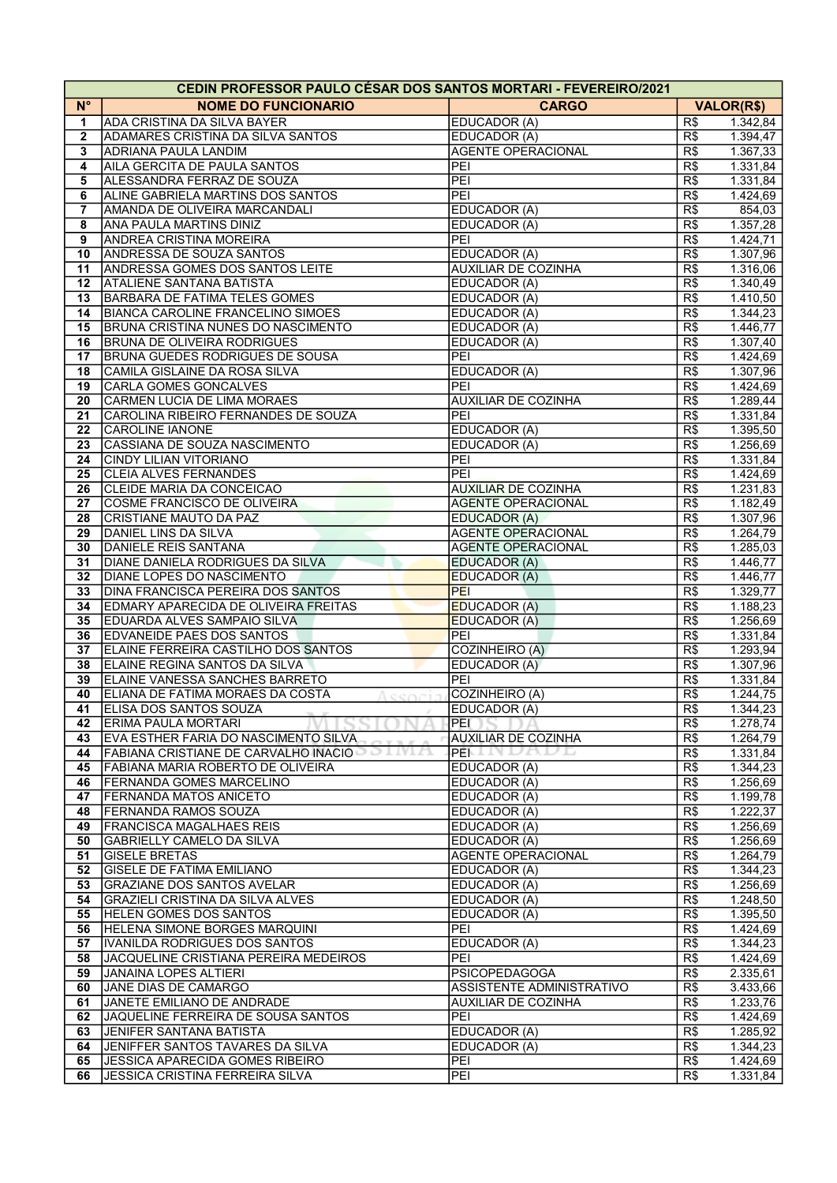| $N^{\circ}$<br><b>NOME DO FUNCIONARIO</b><br><b>CARGO</b><br><b>VALOR(R\$)</b><br>ADA CRISTINA DA SILVA BAYER<br>EDUCADOR (A)<br>R\$<br>1<br>$\overline{2}$<br>ADAMARES CRISTINA DA SILVA SANTOS<br>EDUCADOR (A)<br>R\$<br><b>ADRIANA PAULA LANDIM</b><br><b>AGENTE OPERACIONAL</b><br>R\$<br>3<br>AILA GERCITA DE PAULA SANTOS<br>PEI<br>R\$<br>4<br>ALESSANDRA FERRAZ DE SOUZA<br>PEI<br>R\$<br>1.331,84<br>5<br>ALINE GABRIELA MARTINS DOS SANTOS<br>PEI<br>R\$<br>1.424,69<br>6<br>AMANDA DE OLIVEIRA MARCANDALI<br><b>EDUCADOR (A)</b><br>R\$<br>854,03<br>$\overline{7}$<br><b>ANA PAULA MARTINS DINIZ</b><br>EDUCADOR (A)<br>1.357,28<br>8<br>R\$<br><b>ANDREA CRISTINA MOREIRA</b><br>PEI<br>R\$<br>1.424, 71<br>9<br><b>ANDRESSA DE SOUZA SANTOS</b><br><b>EDUCADOR (A)</b><br>1.307,96<br>10<br>R\$<br>ANDRESSA GOMES DOS SANTOS LEITE<br><b>AUXILIAR DE COZINHA</b><br>R\$<br>11<br>1.316,06<br><b>ATALIENE SANTANA BATISTA</b><br><b>EDUCADOR (A)</b><br>R\$<br>1.340,49<br>12<br><b>BARBARA DE FATIMA TELES GOMES</b><br>EDUCADOR (A)<br>R\$<br>1.410,50<br>13<br><b>BIANCA CAROLINE FRANCELINO SIMOES</b><br>EDUCADOR (A)<br>14<br>R\$<br>1.344,23<br><b>BRUNA CRISTINA NUNES DO NASCIMENTO</b><br>R\$<br>15<br>EDUCADOR (A)<br>1.446,77<br><b>BRUNA DE OLIVEIRA RODRIGUES</b><br>EDUCADOR (A)<br>$\overline{R\$}$<br>1.307,40<br>16<br><b>BRUNA GUEDES RODRIGUES DE SOUSA</b><br>PEI<br>R\$<br>1.424,69<br>17<br>CAMILA GISLAINE DA ROSA SILVA<br>EDUCADOR (A)<br>1.307,96<br>18<br>R\$<br><b>CARLA GOMES GONCALVES</b><br>PEI<br>R\$<br>1.424,69<br>19<br><b>CARMEN LUCIA DE LIMA MORAES</b><br><b>AUXILIAR DE COZINHA</b><br>R\$<br>1.289,44<br>20<br>CAROLINA RIBEIRO FERNANDES DE SOUZA<br>PEI<br>R\$<br>1.331,84<br>21<br><b>CAROLINE IANONE</b><br>EDUCADOR (A)<br>R\$<br>1.395,50<br>22<br>R\$<br>1.256,69<br>23<br>CASSIANA DE SOUZA NASCIMENTO<br>EDUCADOR (A)<br><b>CINDY LILIAN VITORIANO</b><br>PEI<br>R\$<br>1.331,84<br>24<br><b>CLEIA ALVES FERNANDES</b><br>PEI<br>R\$<br>1.424,69<br>25<br><b>AUXILIAR DE COZINHA</b><br>1.231,83<br>CLEIDE MARIA DA CONCEICAO<br>R\$<br>26<br>COSME FRANCISCO DE OLIVEIRA<br><b>AGENTE OPERACIONAL</b><br>R\$<br>1.182,49<br>27<br>CRISTIANE MAUTO DA PAZ<br><b>EDUCADOR (A)</b><br>R\$<br>1.307,96<br>28<br>29<br>DANIEL LINS DA SILVA<br><b>AGENTE OPERACIONAL</b><br>R\$<br>1.264,79<br>DANIELE REIS SANTANA<br><b>AGENTE OPERACIONAL</b><br>R\$<br>1.285,03<br>30<br>31<br>DIANE DANIELA RODRIGUES DA SILVA<br><b>EDUCADOR (A)</b><br>R\$<br>1.446,77<br><b>DIANE LOPES DO NASCIMENTO</b><br><b>EDUCADOR (A)</b><br>R\$<br>32<br>33<br>DINA FRANCISCA PEREIRA DOS SANTOS<br>PEI<br>R\$<br>EDMARY APARECIDA DE OLIVEIRA FREITAS<br>R\$<br>34<br><b>EDUCADOR (A)</b><br>EDUARDA ALVES SAMPAIO SILVA<br>EDUCADOR (A)<br>R\$<br>35<br><b>EDVANEIDE PAES DOS SANTOS</b><br>PEI<br>R\$<br>36<br>ELAINE FERREIRA CASTILHO DOS SANTOS<br><b>COZINHEIRO (A)</b><br>37<br>R\$<br>ELAINE REGINA SANTOS DA SILVA<br>EDUCADOR (A)<br>R\$<br>38<br>ELAINE VANESSA SANCHES BARRETO<br>PEI<br>R\$<br>39<br>COZINHEIRO (A)<br>ELIANA DE FATIMA MORAES DA COSTA<br>R\$<br>40<br>Accoria<br><b>ELISA DOS SANTOS SOUZA</b><br>EDUCADOR (A)<br>R\$<br>41<br>ERIMA PAULA MORTARI<br><b>PEL</b><br>R\$<br>1.278,74<br>42<br>EVA ESTHER FARIA DO NASCIMENTO SILVA<br><b>AUXILIAR DE COZINHA</b><br>R\$<br>1.264,79<br>43<br>FABIANA CRISTIANE DE CARVALHO INACIO<br>PEL L<br>ハハレロ<br>$\overline{R\$}$<br>1.331,84<br>44<br>R\$<br>FABIANA MARIA ROBERTO DE OLIVEIRA<br>EDUCADOR (A)<br>1.344,23<br>45<br>R\$<br><b>FERNANDA GOMES MARCELINO</b><br>EDUCADOR (A)<br>1.256,69<br>46<br>$\overline{R\$<br><b>FERNANDA MATOS ANICETO</b><br>EDUCADOR (A)<br>1.199,78<br>47<br><b>FERNANDA RAMOS SOUZA</b><br>R\$<br>1.222,37<br>EDUCADOR (A)<br>48<br><b>IFRANCISCA MAGALHAES REIS</b><br>EDUCADOR (A)<br>R\$<br>1.256,69<br>49<br>R\$<br><b>GABRIELLY CAMELO DA SILVA</b><br>EDUCADOR (A)<br>1.256,69<br>50<br><b>GISELE BRETAS</b><br>R\$<br><b>AGENTE OPERACIONAL</b><br>1.264,79<br>51<br>R\$<br>52<br><b>GISELE DE FATIMA EMILIANO</b><br>EDUCADOR (A)<br>1.344,23<br>R\$<br>1.256,69<br><b>GRAZIANE DOS SANTOS AVELAR</b><br>EDUCADOR (A)<br>53<br>R\$<br>1.248,50<br>54<br>GRAZIELI CRISTINA DA SILVA ALVES<br>EDUCADOR (A)<br><b>HELEN GOMES DOS SANTOS</b><br>R\$<br>55<br>EDUCADOR (A)<br>1.395,50<br><b>HELENA SIMONE BORGES MARQUINI</b><br>PEI<br>R\$<br>1.424,69<br>56<br>R\$<br>57<br>IVANILDA RODRIGUES DOS SANTOS<br>EDUCADOR (A)<br>1.344,23<br>PEI<br>R\$<br>58<br><b>JACQUELINE CRISTIANA PEREIRA MEDEIROS</b><br>1.424,69<br>JANAINA LOPES ALTIERI<br><b>PSICOPEDAGOGA</b><br>R\$<br>2.335,61<br>59<br>ASSISTENTE ADMINISTRATIVO<br>3.433,66<br>60<br>JANE DIAS DE CAMARGO<br>R\$<br>R\$<br>1.233,76<br>61<br>JANETE EMILIANO DE ANDRADE<br><b>AUXILIAR DE COZINHA</b><br>JAQUELINE FERREIRA DE SOUSA SANTOS<br>PEI<br>R\$<br>62<br>1.424,69<br><b>JENIFER SANTANA BATISTA</b><br>R\$<br>1.285,92<br>63<br>EDUCADOR (A)<br>JENIFFER SANTOS TAVARES DA SILVA<br>EDUCADOR (A)<br>R\$<br>1.344,23<br>64<br>PEI<br>R\$<br>JESSICA APARECIDA GOMES RIBEIRO<br>65<br>$\overline{PEI}$<br><b>JESSICA CRISTINA FERREIRA SILVA</b><br>R\$<br>66 | <b>CEDIN PROFESSOR PAULO CÉSAR DOS SANTOS MORTARI - FEVEREIRO/2021</b> |  |  |          |  |  |  |  |  |
|------------------------------------------------------------------------------------------------------------------------------------------------------------------------------------------------------------------------------------------------------------------------------------------------------------------------------------------------------------------------------------------------------------------------------------------------------------------------------------------------------------------------------------------------------------------------------------------------------------------------------------------------------------------------------------------------------------------------------------------------------------------------------------------------------------------------------------------------------------------------------------------------------------------------------------------------------------------------------------------------------------------------------------------------------------------------------------------------------------------------------------------------------------------------------------------------------------------------------------------------------------------------------------------------------------------------------------------------------------------------------------------------------------------------------------------------------------------------------------------------------------------------------------------------------------------------------------------------------------------------------------------------------------------------------------------------------------------------------------------------------------------------------------------------------------------------------------------------------------------------------------------------------------------------------------------------------------------------------------------------------------------------------------------------------------------------------------------------------------------------------------------------------------------------------------------------------------------------------------------------------------------------------------------------------------------------------------------------------------------------------------------------------------------------------------------------------------------------------------------------------------------------------------------------------------------------------------------------------------------------------------------------------------------------------------------------------------------------------------------------------------------------------------------------------------------------------------------------------------------------------------------------------------------------------------------------------------------------------------------------------------------------------------------------------------------------------------------------------------------------------------------------------------------------------------------------------------------------------------------------------------------------------------------------------------------------------------------------------------------------------------------------------------------------------------------------------------------------------------------------------------------------------------------------------------------------------------------------------------------------------------------------------------------------------------------------------------------------------------------------------------------------------------------------------------------------------------------------------------------------------------------------------------------------------------------------------------------------------------------------------------------------------------------------------------------------------------------------------------------------------------------------------------------------------------------------------------------------------------------------------------------------------------------------------------------------------------------------------------------------------------------------------------------------------------------------------------------------------------------------------------------------------------------------------------------------------------------------------------------------------------------------------------------------------------------------------------------------------------------------------------------------------------------------------------------------------------------------------------------------------------------------------------------------------------------------------------------------------------------------------------------------------------------------------------------------------------------------------------------------------------------------------------------------------------------------------|------------------------------------------------------------------------|--|--|----------|--|--|--|--|--|
|                                                                                                                                                                                                                                                                                                                                                                                                                                                                                                                                                                                                                                                                                                                                                                                                                                                                                                                                                                                                                                                                                                                                                                                                                                                                                                                                                                                                                                                                                                                                                                                                                                                                                                                                                                                                                                                                                                                                                                                                                                                                                                                                                                                                                                                                                                                                                                                                                                                                                                                                                                                                                                                                                                                                                                                                                                                                                                                                                                                                                                                                                                                                                                                                                                                                                                                                                                                                                                                                                                                                                                                                                                                                                                                                                                                                                                                                                                                                                                                                                                                                                                                                                                                                                                                                                                                                                                                                                                                                                                                                                                                                                                                                                                                                                                                                                                                                                                                                                                                                                                                                                                                                                                                                      |                                                                        |  |  |          |  |  |  |  |  |
|                                                                                                                                                                                                                                                                                                                                                                                                                                                                                                                                                                                                                                                                                                                                                                                                                                                                                                                                                                                                                                                                                                                                                                                                                                                                                                                                                                                                                                                                                                                                                                                                                                                                                                                                                                                                                                                                                                                                                                                                                                                                                                                                                                                                                                                                                                                                                                                                                                                                                                                                                                                                                                                                                                                                                                                                                                                                                                                                                                                                                                                                                                                                                                                                                                                                                                                                                                                                                                                                                                                                                                                                                                                                                                                                                                                                                                                                                                                                                                                                                                                                                                                                                                                                                                                                                                                                                                                                                                                                                                                                                                                                                                                                                                                                                                                                                                                                                                                                                                                                                                                                                                                                                                                                      |                                                                        |  |  | 1.342,84 |  |  |  |  |  |
|                                                                                                                                                                                                                                                                                                                                                                                                                                                                                                                                                                                                                                                                                                                                                                                                                                                                                                                                                                                                                                                                                                                                                                                                                                                                                                                                                                                                                                                                                                                                                                                                                                                                                                                                                                                                                                                                                                                                                                                                                                                                                                                                                                                                                                                                                                                                                                                                                                                                                                                                                                                                                                                                                                                                                                                                                                                                                                                                                                                                                                                                                                                                                                                                                                                                                                                                                                                                                                                                                                                                                                                                                                                                                                                                                                                                                                                                                                                                                                                                                                                                                                                                                                                                                                                                                                                                                                                                                                                                                                                                                                                                                                                                                                                                                                                                                                                                                                                                                                                                                                                                                                                                                                                                      |                                                                        |  |  | 1.394,47 |  |  |  |  |  |
|                                                                                                                                                                                                                                                                                                                                                                                                                                                                                                                                                                                                                                                                                                                                                                                                                                                                                                                                                                                                                                                                                                                                                                                                                                                                                                                                                                                                                                                                                                                                                                                                                                                                                                                                                                                                                                                                                                                                                                                                                                                                                                                                                                                                                                                                                                                                                                                                                                                                                                                                                                                                                                                                                                                                                                                                                                                                                                                                                                                                                                                                                                                                                                                                                                                                                                                                                                                                                                                                                                                                                                                                                                                                                                                                                                                                                                                                                                                                                                                                                                                                                                                                                                                                                                                                                                                                                                                                                                                                                                                                                                                                                                                                                                                                                                                                                                                                                                                                                                                                                                                                                                                                                                                                      |                                                                        |  |  | 1.367,33 |  |  |  |  |  |
|                                                                                                                                                                                                                                                                                                                                                                                                                                                                                                                                                                                                                                                                                                                                                                                                                                                                                                                                                                                                                                                                                                                                                                                                                                                                                                                                                                                                                                                                                                                                                                                                                                                                                                                                                                                                                                                                                                                                                                                                                                                                                                                                                                                                                                                                                                                                                                                                                                                                                                                                                                                                                                                                                                                                                                                                                                                                                                                                                                                                                                                                                                                                                                                                                                                                                                                                                                                                                                                                                                                                                                                                                                                                                                                                                                                                                                                                                                                                                                                                                                                                                                                                                                                                                                                                                                                                                                                                                                                                                                                                                                                                                                                                                                                                                                                                                                                                                                                                                                                                                                                                                                                                                                                                      |                                                                        |  |  | 1.331,84 |  |  |  |  |  |
|                                                                                                                                                                                                                                                                                                                                                                                                                                                                                                                                                                                                                                                                                                                                                                                                                                                                                                                                                                                                                                                                                                                                                                                                                                                                                                                                                                                                                                                                                                                                                                                                                                                                                                                                                                                                                                                                                                                                                                                                                                                                                                                                                                                                                                                                                                                                                                                                                                                                                                                                                                                                                                                                                                                                                                                                                                                                                                                                                                                                                                                                                                                                                                                                                                                                                                                                                                                                                                                                                                                                                                                                                                                                                                                                                                                                                                                                                                                                                                                                                                                                                                                                                                                                                                                                                                                                                                                                                                                                                                                                                                                                                                                                                                                                                                                                                                                                                                                                                                                                                                                                                                                                                                                                      |                                                                        |  |  |          |  |  |  |  |  |
|                                                                                                                                                                                                                                                                                                                                                                                                                                                                                                                                                                                                                                                                                                                                                                                                                                                                                                                                                                                                                                                                                                                                                                                                                                                                                                                                                                                                                                                                                                                                                                                                                                                                                                                                                                                                                                                                                                                                                                                                                                                                                                                                                                                                                                                                                                                                                                                                                                                                                                                                                                                                                                                                                                                                                                                                                                                                                                                                                                                                                                                                                                                                                                                                                                                                                                                                                                                                                                                                                                                                                                                                                                                                                                                                                                                                                                                                                                                                                                                                                                                                                                                                                                                                                                                                                                                                                                                                                                                                                                                                                                                                                                                                                                                                                                                                                                                                                                                                                                                                                                                                                                                                                                                                      |                                                                        |  |  |          |  |  |  |  |  |
|                                                                                                                                                                                                                                                                                                                                                                                                                                                                                                                                                                                                                                                                                                                                                                                                                                                                                                                                                                                                                                                                                                                                                                                                                                                                                                                                                                                                                                                                                                                                                                                                                                                                                                                                                                                                                                                                                                                                                                                                                                                                                                                                                                                                                                                                                                                                                                                                                                                                                                                                                                                                                                                                                                                                                                                                                                                                                                                                                                                                                                                                                                                                                                                                                                                                                                                                                                                                                                                                                                                                                                                                                                                                                                                                                                                                                                                                                                                                                                                                                                                                                                                                                                                                                                                                                                                                                                                                                                                                                                                                                                                                                                                                                                                                                                                                                                                                                                                                                                                                                                                                                                                                                                                                      |                                                                        |  |  |          |  |  |  |  |  |
|                                                                                                                                                                                                                                                                                                                                                                                                                                                                                                                                                                                                                                                                                                                                                                                                                                                                                                                                                                                                                                                                                                                                                                                                                                                                                                                                                                                                                                                                                                                                                                                                                                                                                                                                                                                                                                                                                                                                                                                                                                                                                                                                                                                                                                                                                                                                                                                                                                                                                                                                                                                                                                                                                                                                                                                                                                                                                                                                                                                                                                                                                                                                                                                                                                                                                                                                                                                                                                                                                                                                                                                                                                                                                                                                                                                                                                                                                                                                                                                                                                                                                                                                                                                                                                                                                                                                                                                                                                                                                                                                                                                                                                                                                                                                                                                                                                                                                                                                                                                                                                                                                                                                                                                                      |                                                                        |  |  |          |  |  |  |  |  |
|                                                                                                                                                                                                                                                                                                                                                                                                                                                                                                                                                                                                                                                                                                                                                                                                                                                                                                                                                                                                                                                                                                                                                                                                                                                                                                                                                                                                                                                                                                                                                                                                                                                                                                                                                                                                                                                                                                                                                                                                                                                                                                                                                                                                                                                                                                                                                                                                                                                                                                                                                                                                                                                                                                                                                                                                                                                                                                                                                                                                                                                                                                                                                                                                                                                                                                                                                                                                                                                                                                                                                                                                                                                                                                                                                                                                                                                                                                                                                                                                                                                                                                                                                                                                                                                                                                                                                                                                                                                                                                                                                                                                                                                                                                                                                                                                                                                                                                                                                                                                                                                                                                                                                                                                      |                                                                        |  |  |          |  |  |  |  |  |
|                                                                                                                                                                                                                                                                                                                                                                                                                                                                                                                                                                                                                                                                                                                                                                                                                                                                                                                                                                                                                                                                                                                                                                                                                                                                                                                                                                                                                                                                                                                                                                                                                                                                                                                                                                                                                                                                                                                                                                                                                                                                                                                                                                                                                                                                                                                                                                                                                                                                                                                                                                                                                                                                                                                                                                                                                                                                                                                                                                                                                                                                                                                                                                                                                                                                                                                                                                                                                                                                                                                                                                                                                                                                                                                                                                                                                                                                                                                                                                                                                                                                                                                                                                                                                                                                                                                                                                                                                                                                                                                                                                                                                                                                                                                                                                                                                                                                                                                                                                                                                                                                                                                                                                                                      |                                                                        |  |  |          |  |  |  |  |  |
|                                                                                                                                                                                                                                                                                                                                                                                                                                                                                                                                                                                                                                                                                                                                                                                                                                                                                                                                                                                                                                                                                                                                                                                                                                                                                                                                                                                                                                                                                                                                                                                                                                                                                                                                                                                                                                                                                                                                                                                                                                                                                                                                                                                                                                                                                                                                                                                                                                                                                                                                                                                                                                                                                                                                                                                                                                                                                                                                                                                                                                                                                                                                                                                                                                                                                                                                                                                                                                                                                                                                                                                                                                                                                                                                                                                                                                                                                                                                                                                                                                                                                                                                                                                                                                                                                                                                                                                                                                                                                                                                                                                                                                                                                                                                                                                                                                                                                                                                                                                                                                                                                                                                                                                                      |                                                                        |  |  |          |  |  |  |  |  |
|                                                                                                                                                                                                                                                                                                                                                                                                                                                                                                                                                                                                                                                                                                                                                                                                                                                                                                                                                                                                                                                                                                                                                                                                                                                                                                                                                                                                                                                                                                                                                                                                                                                                                                                                                                                                                                                                                                                                                                                                                                                                                                                                                                                                                                                                                                                                                                                                                                                                                                                                                                                                                                                                                                                                                                                                                                                                                                                                                                                                                                                                                                                                                                                                                                                                                                                                                                                                                                                                                                                                                                                                                                                                                                                                                                                                                                                                                                                                                                                                                                                                                                                                                                                                                                                                                                                                                                                                                                                                                                                                                                                                                                                                                                                                                                                                                                                                                                                                                                                                                                                                                                                                                                                                      |                                                                        |  |  |          |  |  |  |  |  |
|                                                                                                                                                                                                                                                                                                                                                                                                                                                                                                                                                                                                                                                                                                                                                                                                                                                                                                                                                                                                                                                                                                                                                                                                                                                                                                                                                                                                                                                                                                                                                                                                                                                                                                                                                                                                                                                                                                                                                                                                                                                                                                                                                                                                                                                                                                                                                                                                                                                                                                                                                                                                                                                                                                                                                                                                                                                                                                                                                                                                                                                                                                                                                                                                                                                                                                                                                                                                                                                                                                                                                                                                                                                                                                                                                                                                                                                                                                                                                                                                                                                                                                                                                                                                                                                                                                                                                                                                                                                                                                                                                                                                                                                                                                                                                                                                                                                                                                                                                                                                                                                                                                                                                                                                      |                                                                        |  |  |          |  |  |  |  |  |
|                                                                                                                                                                                                                                                                                                                                                                                                                                                                                                                                                                                                                                                                                                                                                                                                                                                                                                                                                                                                                                                                                                                                                                                                                                                                                                                                                                                                                                                                                                                                                                                                                                                                                                                                                                                                                                                                                                                                                                                                                                                                                                                                                                                                                                                                                                                                                                                                                                                                                                                                                                                                                                                                                                                                                                                                                                                                                                                                                                                                                                                                                                                                                                                                                                                                                                                                                                                                                                                                                                                                                                                                                                                                                                                                                                                                                                                                                                                                                                                                                                                                                                                                                                                                                                                                                                                                                                                                                                                                                                                                                                                                                                                                                                                                                                                                                                                                                                                                                                                                                                                                                                                                                                                                      |                                                                        |  |  |          |  |  |  |  |  |
|                                                                                                                                                                                                                                                                                                                                                                                                                                                                                                                                                                                                                                                                                                                                                                                                                                                                                                                                                                                                                                                                                                                                                                                                                                                                                                                                                                                                                                                                                                                                                                                                                                                                                                                                                                                                                                                                                                                                                                                                                                                                                                                                                                                                                                                                                                                                                                                                                                                                                                                                                                                                                                                                                                                                                                                                                                                                                                                                                                                                                                                                                                                                                                                                                                                                                                                                                                                                                                                                                                                                                                                                                                                                                                                                                                                                                                                                                                                                                                                                                                                                                                                                                                                                                                                                                                                                                                                                                                                                                                                                                                                                                                                                                                                                                                                                                                                                                                                                                                                                                                                                                                                                                                                                      |                                                                        |  |  |          |  |  |  |  |  |
|                                                                                                                                                                                                                                                                                                                                                                                                                                                                                                                                                                                                                                                                                                                                                                                                                                                                                                                                                                                                                                                                                                                                                                                                                                                                                                                                                                                                                                                                                                                                                                                                                                                                                                                                                                                                                                                                                                                                                                                                                                                                                                                                                                                                                                                                                                                                                                                                                                                                                                                                                                                                                                                                                                                                                                                                                                                                                                                                                                                                                                                                                                                                                                                                                                                                                                                                                                                                                                                                                                                                                                                                                                                                                                                                                                                                                                                                                                                                                                                                                                                                                                                                                                                                                                                                                                                                                                                                                                                                                                                                                                                                                                                                                                                                                                                                                                                                                                                                                                                                                                                                                                                                                                                                      |                                                                        |  |  |          |  |  |  |  |  |
|                                                                                                                                                                                                                                                                                                                                                                                                                                                                                                                                                                                                                                                                                                                                                                                                                                                                                                                                                                                                                                                                                                                                                                                                                                                                                                                                                                                                                                                                                                                                                                                                                                                                                                                                                                                                                                                                                                                                                                                                                                                                                                                                                                                                                                                                                                                                                                                                                                                                                                                                                                                                                                                                                                                                                                                                                                                                                                                                                                                                                                                                                                                                                                                                                                                                                                                                                                                                                                                                                                                                                                                                                                                                                                                                                                                                                                                                                                                                                                                                                                                                                                                                                                                                                                                                                                                                                                                                                                                                                                                                                                                                                                                                                                                                                                                                                                                                                                                                                                                                                                                                                                                                                                                                      |                                                                        |  |  |          |  |  |  |  |  |
|                                                                                                                                                                                                                                                                                                                                                                                                                                                                                                                                                                                                                                                                                                                                                                                                                                                                                                                                                                                                                                                                                                                                                                                                                                                                                                                                                                                                                                                                                                                                                                                                                                                                                                                                                                                                                                                                                                                                                                                                                                                                                                                                                                                                                                                                                                                                                                                                                                                                                                                                                                                                                                                                                                                                                                                                                                                                                                                                                                                                                                                                                                                                                                                                                                                                                                                                                                                                                                                                                                                                                                                                                                                                                                                                                                                                                                                                                                                                                                                                                                                                                                                                                                                                                                                                                                                                                                                                                                                                                                                                                                                                                                                                                                                                                                                                                                                                                                                                                                                                                                                                                                                                                                                                      |                                                                        |  |  |          |  |  |  |  |  |
|                                                                                                                                                                                                                                                                                                                                                                                                                                                                                                                                                                                                                                                                                                                                                                                                                                                                                                                                                                                                                                                                                                                                                                                                                                                                                                                                                                                                                                                                                                                                                                                                                                                                                                                                                                                                                                                                                                                                                                                                                                                                                                                                                                                                                                                                                                                                                                                                                                                                                                                                                                                                                                                                                                                                                                                                                                                                                                                                                                                                                                                                                                                                                                                                                                                                                                                                                                                                                                                                                                                                                                                                                                                                                                                                                                                                                                                                                                                                                                                                                                                                                                                                                                                                                                                                                                                                                                                                                                                                                                                                                                                                                                                                                                                                                                                                                                                                                                                                                                                                                                                                                                                                                                                                      |                                                                        |  |  |          |  |  |  |  |  |
|                                                                                                                                                                                                                                                                                                                                                                                                                                                                                                                                                                                                                                                                                                                                                                                                                                                                                                                                                                                                                                                                                                                                                                                                                                                                                                                                                                                                                                                                                                                                                                                                                                                                                                                                                                                                                                                                                                                                                                                                                                                                                                                                                                                                                                                                                                                                                                                                                                                                                                                                                                                                                                                                                                                                                                                                                                                                                                                                                                                                                                                                                                                                                                                                                                                                                                                                                                                                                                                                                                                                                                                                                                                                                                                                                                                                                                                                                                                                                                                                                                                                                                                                                                                                                                                                                                                                                                                                                                                                                                                                                                                                                                                                                                                                                                                                                                                                                                                                                                                                                                                                                                                                                                                                      |                                                                        |  |  |          |  |  |  |  |  |
|                                                                                                                                                                                                                                                                                                                                                                                                                                                                                                                                                                                                                                                                                                                                                                                                                                                                                                                                                                                                                                                                                                                                                                                                                                                                                                                                                                                                                                                                                                                                                                                                                                                                                                                                                                                                                                                                                                                                                                                                                                                                                                                                                                                                                                                                                                                                                                                                                                                                                                                                                                                                                                                                                                                                                                                                                                                                                                                                                                                                                                                                                                                                                                                                                                                                                                                                                                                                                                                                                                                                                                                                                                                                                                                                                                                                                                                                                                                                                                                                                                                                                                                                                                                                                                                                                                                                                                                                                                                                                                                                                                                                                                                                                                                                                                                                                                                                                                                                                                                                                                                                                                                                                                                                      |                                                                        |  |  |          |  |  |  |  |  |
|                                                                                                                                                                                                                                                                                                                                                                                                                                                                                                                                                                                                                                                                                                                                                                                                                                                                                                                                                                                                                                                                                                                                                                                                                                                                                                                                                                                                                                                                                                                                                                                                                                                                                                                                                                                                                                                                                                                                                                                                                                                                                                                                                                                                                                                                                                                                                                                                                                                                                                                                                                                                                                                                                                                                                                                                                                                                                                                                                                                                                                                                                                                                                                                                                                                                                                                                                                                                                                                                                                                                                                                                                                                                                                                                                                                                                                                                                                                                                                                                                                                                                                                                                                                                                                                                                                                                                                                                                                                                                                                                                                                                                                                                                                                                                                                                                                                                                                                                                                                                                                                                                                                                                                                                      |                                                                        |  |  |          |  |  |  |  |  |
|                                                                                                                                                                                                                                                                                                                                                                                                                                                                                                                                                                                                                                                                                                                                                                                                                                                                                                                                                                                                                                                                                                                                                                                                                                                                                                                                                                                                                                                                                                                                                                                                                                                                                                                                                                                                                                                                                                                                                                                                                                                                                                                                                                                                                                                                                                                                                                                                                                                                                                                                                                                                                                                                                                                                                                                                                                                                                                                                                                                                                                                                                                                                                                                                                                                                                                                                                                                                                                                                                                                                                                                                                                                                                                                                                                                                                                                                                                                                                                                                                                                                                                                                                                                                                                                                                                                                                                                                                                                                                                                                                                                                                                                                                                                                                                                                                                                                                                                                                                                                                                                                                                                                                                                                      |                                                                        |  |  |          |  |  |  |  |  |
|                                                                                                                                                                                                                                                                                                                                                                                                                                                                                                                                                                                                                                                                                                                                                                                                                                                                                                                                                                                                                                                                                                                                                                                                                                                                                                                                                                                                                                                                                                                                                                                                                                                                                                                                                                                                                                                                                                                                                                                                                                                                                                                                                                                                                                                                                                                                                                                                                                                                                                                                                                                                                                                                                                                                                                                                                                                                                                                                                                                                                                                                                                                                                                                                                                                                                                                                                                                                                                                                                                                                                                                                                                                                                                                                                                                                                                                                                                                                                                                                                                                                                                                                                                                                                                                                                                                                                                                                                                                                                                                                                                                                                                                                                                                                                                                                                                                                                                                                                                                                                                                                                                                                                                                                      |                                                                        |  |  |          |  |  |  |  |  |
|                                                                                                                                                                                                                                                                                                                                                                                                                                                                                                                                                                                                                                                                                                                                                                                                                                                                                                                                                                                                                                                                                                                                                                                                                                                                                                                                                                                                                                                                                                                                                                                                                                                                                                                                                                                                                                                                                                                                                                                                                                                                                                                                                                                                                                                                                                                                                                                                                                                                                                                                                                                                                                                                                                                                                                                                                                                                                                                                                                                                                                                                                                                                                                                                                                                                                                                                                                                                                                                                                                                                                                                                                                                                                                                                                                                                                                                                                                                                                                                                                                                                                                                                                                                                                                                                                                                                                                                                                                                                                                                                                                                                                                                                                                                                                                                                                                                                                                                                                                                                                                                                                                                                                                                                      |                                                                        |  |  |          |  |  |  |  |  |
|                                                                                                                                                                                                                                                                                                                                                                                                                                                                                                                                                                                                                                                                                                                                                                                                                                                                                                                                                                                                                                                                                                                                                                                                                                                                                                                                                                                                                                                                                                                                                                                                                                                                                                                                                                                                                                                                                                                                                                                                                                                                                                                                                                                                                                                                                                                                                                                                                                                                                                                                                                                                                                                                                                                                                                                                                                                                                                                                                                                                                                                                                                                                                                                                                                                                                                                                                                                                                                                                                                                                                                                                                                                                                                                                                                                                                                                                                                                                                                                                                                                                                                                                                                                                                                                                                                                                                                                                                                                                                                                                                                                                                                                                                                                                                                                                                                                                                                                                                                                                                                                                                                                                                                                                      |                                                                        |  |  |          |  |  |  |  |  |
|                                                                                                                                                                                                                                                                                                                                                                                                                                                                                                                                                                                                                                                                                                                                                                                                                                                                                                                                                                                                                                                                                                                                                                                                                                                                                                                                                                                                                                                                                                                                                                                                                                                                                                                                                                                                                                                                                                                                                                                                                                                                                                                                                                                                                                                                                                                                                                                                                                                                                                                                                                                                                                                                                                                                                                                                                                                                                                                                                                                                                                                                                                                                                                                                                                                                                                                                                                                                                                                                                                                                                                                                                                                                                                                                                                                                                                                                                                                                                                                                                                                                                                                                                                                                                                                                                                                                                                                                                                                                                                                                                                                                                                                                                                                                                                                                                                                                                                                                                                                                                                                                                                                                                                                                      |                                                                        |  |  |          |  |  |  |  |  |
|                                                                                                                                                                                                                                                                                                                                                                                                                                                                                                                                                                                                                                                                                                                                                                                                                                                                                                                                                                                                                                                                                                                                                                                                                                                                                                                                                                                                                                                                                                                                                                                                                                                                                                                                                                                                                                                                                                                                                                                                                                                                                                                                                                                                                                                                                                                                                                                                                                                                                                                                                                                                                                                                                                                                                                                                                                                                                                                                                                                                                                                                                                                                                                                                                                                                                                                                                                                                                                                                                                                                                                                                                                                                                                                                                                                                                                                                                                                                                                                                                                                                                                                                                                                                                                                                                                                                                                                                                                                                                                                                                                                                                                                                                                                                                                                                                                                                                                                                                                                                                                                                                                                                                                                                      |                                                                        |  |  |          |  |  |  |  |  |
|                                                                                                                                                                                                                                                                                                                                                                                                                                                                                                                                                                                                                                                                                                                                                                                                                                                                                                                                                                                                                                                                                                                                                                                                                                                                                                                                                                                                                                                                                                                                                                                                                                                                                                                                                                                                                                                                                                                                                                                                                                                                                                                                                                                                                                                                                                                                                                                                                                                                                                                                                                                                                                                                                                                                                                                                                                                                                                                                                                                                                                                                                                                                                                                                                                                                                                                                                                                                                                                                                                                                                                                                                                                                                                                                                                                                                                                                                                                                                                                                                                                                                                                                                                                                                                                                                                                                                                                                                                                                                                                                                                                                                                                                                                                                                                                                                                                                                                                                                                                                                                                                                                                                                                                                      |                                                                        |  |  |          |  |  |  |  |  |
|                                                                                                                                                                                                                                                                                                                                                                                                                                                                                                                                                                                                                                                                                                                                                                                                                                                                                                                                                                                                                                                                                                                                                                                                                                                                                                                                                                                                                                                                                                                                                                                                                                                                                                                                                                                                                                                                                                                                                                                                                                                                                                                                                                                                                                                                                                                                                                                                                                                                                                                                                                                                                                                                                                                                                                                                                                                                                                                                                                                                                                                                                                                                                                                                                                                                                                                                                                                                                                                                                                                                                                                                                                                                                                                                                                                                                                                                                                                                                                                                                                                                                                                                                                                                                                                                                                                                                                                                                                                                                                                                                                                                                                                                                                                                                                                                                                                                                                                                                                                                                                                                                                                                                                                                      |                                                                        |  |  |          |  |  |  |  |  |
|                                                                                                                                                                                                                                                                                                                                                                                                                                                                                                                                                                                                                                                                                                                                                                                                                                                                                                                                                                                                                                                                                                                                                                                                                                                                                                                                                                                                                                                                                                                                                                                                                                                                                                                                                                                                                                                                                                                                                                                                                                                                                                                                                                                                                                                                                                                                                                                                                                                                                                                                                                                                                                                                                                                                                                                                                                                                                                                                                                                                                                                                                                                                                                                                                                                                                                                                                                                                                                                                                                                                                                                                                                                                                                                                                                                                                                                                                                                                                                                                                                                                                                                                                                                                                                                                                                                                                                                                                                                                                                                                                                                                                                                                                                                                                                                                                                                                                                                                                                                                                                                                                                                                                                                                      |                                                                        |  |  | 1.446,77 |  |  |  |  |  |
|                                                                                                                                                                                                                                                                                                                                                                                                                                                                                                                                                                                                                                                                                                                                                                                                                                                                                                                                                                                                                                                                                                                                                                                                                                                                                                                                                                                                                                                                                                                                                                                                                                                                                                                                                                                                                                                                                                                                                                                                                                                                                                                                                                                                                                                                                                                                                                                                                                                                                                                                                                                                                                                                                                                                                                                                                                                                                                                                                                                                                                                                                                                                                                                                                                                                                                                                                                                                                                                                                                                                                                                                                                                                                                                                                                                                                                                                                                                                                                                                                                                                                                                                                                                                                                                                                                                                                                                                                                                                                                                                                                                                                                                                                                                                                                                                                                                                                                                                                                                                                                                                                                                                                                                                      |                                                                        |  |  | 1.329,77 |  |  |  |  |  |
|                                                                                                                                                                                                                                                                                                                                                                                                                                                                                                                                                                                                                                                                                                                                                                                                                                                                                                                                                                                                                                                                                                                                                                                                                                                                                                                                                                                                                                                                                                                                                                                                                                                                                                                                                                                                                                                                                                                                                                                                                                                                                                                                                                                                                                                                                                                                                                                                                                                                                                                                                                                                                                                                                                                                                                                                                                                                                                                                                                                                                                                                                                                                                                                                                                                                                                                                                                                                                                                                                                                                                                                                                                                                                                                                                                                                                                                                                                                                                                                                                                                                                                                                                                                                                                                                                                                                                                                                                                                                                                                                                                                                                                                                                                                                                                                                                                                                                                                                                                                                                                                                                                                                                                                                      |                                                                        |  |  | 1.188,23 |  |  |  |  |  |
|                                                                                                                                                                                                                                                                                                                                                                                                                                                                                                                                                                                                                                                                                                                                                                                                                                                                                                                                                                                                                                                                                                                                                                                                                                                                                                                                                                                                                                                                                                                                                                                                                                                                                                                                                                                                                                                                                                                                                                                                                                                                                                                                                                                                                                                                                                                                                                                                                                                                                                                                                                                                                                                                                                                                                                                                                                                                                                                                                                                                                                                                                                                                                                                                                                                                                                                                                                                                                                                                                                                                                                                                                                                                                                                                                                                                                                                                                                                                                                                                                                                                                                                                                                                                                                                                                                                                                                                                                                                                                                                                                                                                                                                                                                                                                                                                                                                                                                                                                                                                                                                                                                                                                                                                      |                                                                        |  |  | 1.256,69 |  |  |  |  |  |
|                                                                                                                                                                                                                                                                                                                                                                                                                                                                                                                                                                                                                                                                                                                                                                                                                                                                                                                                                                                                                                                                                                                                                                                                                                                                                                                                                                                                                                                                                                                                                                                                                                                                                                                                                                                                                                                                                                                                                                                                                                                                                                                                                                                                                                                                                                                                                                                                                                                                                                                                                                                                                                                                                                                                                                                                                                                                                                                                                                                                                                                                                                                                                                                                                                                                                                                                                                                                                                                                                                                                                                                                                                                                                                                                                                                                                                                                                                                                                                                                                                                                                                                                                                                                                                                                                                                                                                                                                                                                                                                                                                                                                                                                                                                                                                                                                                                                                                                                                                                                                                                                                                                                                                                                      |                                                                        |  |  | 1.331,84 |  |  |  |  |  |
|                                                                                                                                                                                                                                                                                                                                                                                                                                                                                                                                                                                                                                                                                                                                                                                                                                                                                                                                                                                                                                                                                                                                                                                                                                                                                                                                                                                                                                                                                                                                                                                                                                                                                                                                                                                                                                                                                                                                                                                                                                                                                                                                                                                                                                                                                                                                                                                                                                                                                                                                                                                                                                                                                                                                                                                                                                                                                                                                                                                                                                                                                                                                                                                                                                                                                                                                                                                                                                                                                                                                                                                                                                                                                                                                                                                                                                                                                                                                                                                                                                                                                                                                                                                                                                                                                                                                                                                                                                                                                                                                                                                                                                                                                                                                                                                                                                                                                                                                                                                                                                                                                                                                                                                                      |                                                                        |  |  | 1.293,94 |  |  |  |  |  |
|                                                                                                                                                                                                                                                                                                                                                                                                                                                                                                                                                                                                                                                                                                                                                                                                                                                                                                                                                                                                                                                                                                                                                                                                                                                                                                                                                                                                                                                                                                                                                                                                                                                                                                                                                                                                                                                                                                                                                                                                                                                                                                                                                                                                                                                                                                                                                                                                                                                                                                                                                                                                                                                                                                                                                                                                                                                                                                                                                                                                                                                                                                                                                                                                                                                                                                                                                                                                                                                                                                                                                                                                                                                                                                                                                                                                                                                                                                                                                                                                                                                                                                                                                                                                                                                                                                                                                                                                                                                                                                                                                                                                                                                                                                                                                                                                                                                                                                                                                                                                                                                                                                                                                                                                      |                                                                        |  |  | 1.307,96 |  |  |  |  |  |
|                                                                                                                                                                                                                                                                                                                                                                                                                                                                                                                                                                                                                                                                                                                                                                                                                                                                                                                                                                                                                                                                                                                                                                                                                                                                                                                                                                                                                                                                                                                                                                                                                                                                                                                                                                                                                                                                                                                                                                                                                                                                                                                                                                                                                                                                                                                                                                                                                                                                                                                                                                                                                                                                                                                                                                                                                                                                                                                                                                                                                                                                                                                                                                                                                                                                                                                                                                                                                                                                                                                                                                                                                                                                                                                                                                                                                                                                                                                                                                                                                                                                                                                                                                                                                                                                                                                                                                                                                                                                                                                                                                                                                                                                                                                                                                                                                                                                                                                                                                                                                                                                                                                                                                                                      |                                                                        |  |  | 1.331,84 |  |  |  |  |  |
|                                                                                                                                                                                                                                                                                                                                                                                                                                                                                                                                                                                                                                                                                                                                                                                                                                                                                                                                                                                                                                                                                                                                                                                                                                                                                                                                                                                                                                                                                                                                                                                                                                                                                                                                                                                                                                                                                                                                                                                                                                                                                                                                                                                                                                                                                                                                                                                                                                                                                                                                                                                                                                                                                                                                                                                                                                                                                                                                                                                                                                                                                                                                                                                                                                                                                                                                                                                                                                                                                                                                                                                                                                                                                                                                                                                                                                                                                                                                                                                                                                                                                                                                                                                                                                                                                                                                                                                                                                                                                                                                                                                                                                                                                                                                                                                                                                                                                                                                                                                                                                                                                                                                                                                                      |                                                                        |  |  | 1.244,75 |  |  |  |  |  |
|                                                                                                                                                                                                                                                                                                                                                                                                                                                                                                                                                                                                                                                                                                                                                                                                                                                                                                                                                                                                                                                                                                                                                                                                                                                                                                                                                                                                                                                                                                                                                                                                                                                                                                                                                                                                                                                                                                                                                                                                                                                                                                                                                                                                                                                                                                                                                                                                                                                                                                                                                                                                                                                                                                                                                                                                                                                                                                                                                                                                                                                                                                                                                                                                                                                                                                                                                                                                                                                                                                                                                                                                                                                                                                                                                                                                                                                                                                                                                                                                                                                                                                                                                                                                                                                                                                                                                                                                                                                                                                                                                                                                                                                                                                                                                                                                                                                                                                                                                                                                                                                                                                                                                                                                      |                                                                        |  |  | 1.344,23 |  |  |  |  |  |
|                                                                                                                                                                                                                                                                                                                                                                                                                                                                                                                                                                                                                                                                                                                                                                                                                                                                                                                                                                                                                                                                                                                                                                                                                                                                                                                                                                                                                                                                                                                                                                                                                                                                                                                                                                                                                                                                                                                                                                                                                                                                                                                                                                                                                                                                                                                                                                                                                                                                                                                                                                                                                                                                                                                                                                                                                                                                                                                                                                                                                                                                                                                                                                                                                                                                                                                                                                                                                                                                                                                                                                                                                                                                                                                                                                                                                                                                                                                                                                                                                                                                                                                                                                                                                                                                                                                                                                                                                                                                                                                                                                                                                                                                                                                                                                                                                                                                                                                                                                                                                                                                                                                                                                                                      |                                                                        |  |  |          |  |  |  |  |  |
|                                                                                                                                                                                                                                                                                                                                                                                                                                                                                                                                                                                                                                                                                                                                                                                                                                                                                                                                                                                                                                                                                                                                                                                                                                                                                                                                                                                                                                                                                                                                                                                                                                                                                                                                                                                                                                                                                                                                                                                                                                                                                                                                                                                                                                                                                                                                                                                                                                                                                                                                                                                                                                                                                                                                                                                                                                                                                                                                                                                                                                                                                                                                                                                                                                                                                                                                                                                                                                                                                                                                                                                                                                                                                                                                                                                                                                                                                                                                                                                                                                                                                                                                                                                                                                                                                                                                                                                                                                                                                                                                                                                                                                                                                                                                                                                                                                                                                                                                                                                                                                                                                                                                                                                                      |                                                                        |  |  |          |  |  |  |  |  |
|                                                                                                                                                                                                                                                                                                                                                                                                                                                                                                                                                                                                                                                                                                                                                                                                                                                                                                                                                                                                                                                                                                                                                                                                                                                                                                                                                                                                                                                                                                                                                                                                                                                                                                                                                                                                                                                                                                                                                                                                                                                                                                                                                                                                                                                                                                                                                                                                                                                                                                                                                                                                                                                                                                                                                                                                                                                                                                                                                                                                                                                                                                                                                                                                                                                                                                                                                                                                                                                                                                                                                                                                                                                                                                                                                                                                                                                                                                                                                                                                                                                                                                                                                                                                                                                                                                                                                                                                                                                                                                                                                                                                                                                                                                                                                                                                                                                                                                                                                                                                                                                                                                                                                                                                      |                                                                        |  |  |          |  |  |  |  |  |
|                                                                                                                                                                                                                                                                                                                                                                                                                                                                                                                                                                                                                                                                                                                                                                                                                                                                                                                                                                                                                                                                                                                                                                                                                                                                                                                                                                                                                                                                                                                                                                                                                                                                                                                                                                                                                                                                                                                                                                                                                                                                                                                                                                                                                                                                                                                                                                                                                                                                                                                                                                                                                                                                                                                                                                                                                                                                                                                                                                                                                                                                                                                                                                                                                                                                                                                                                                                                                                                                                                                                                                                                                                                                                                                                                                                                                                                                                                                                                                                                                                                                                                                                                                                                                                                                                                                                                                                                                                                                                                                                                                                                                                                                                                                                                                                                                                                                                                                                                                                                                                                                                                                                                                                                      |                                                                        |  |  |          |  |  |  |  |  |
|                                                                                                                                                                                                                                                                                                                                                                                                                                                                                                                                                                                                                                                                                                                                                                                                                                                                                                                                                                                                                                                                                                                                                                                                                                                                                                                                                                                                                                                                                                                                                                                                                                                                                                                                                                                                                                                                                                                                                                                                                                                                                                                                                                                                                                                                                                                                                                                                                                                                                                                                                                                                                                                                                                                                                                                                                                                                                                                                                                                                                                                                                                                                                                                                                                                                                                                                                                                                                                                                                                                                                                                                                                                                                                                                                                                                                                                                                                                                                                                                                                                                                                                                                                                                                                                                                                                                                                                                                                                                                                                                                                                                                                                                                                                                                                                                                                                                                                                                                                                                                                                                                                                                                                                                      |                                                                        |  |  |          |  |  |  |  |  |
|                                                                                                                                                                                                                                                                                                                                                                                                                                                                                                                                                                                                                                                                                                                                                                                                                                                                                                                                                                                                                                                                                                                                                                                                                                                                                                                                                                                                                                                                                                                                                                                                                                                                                                                                                                                                                                                                                                                                                                                                                                                                                                                                                                                                                                                                                                                                                                                                                                                                                                                                                                                                                                                                                                                                                                                                                                                                                                                                                                                                                                                                                                                                                                                                                                                                                                                                                                                                                                                                                                                                                                                                                                                                                                                                                                                                                                                                                                                                                                                                                                                                                                                                                                                                                                                                                                                                                                                                                                                                                                                                                                                                                                                                                                                                                                                                                                                                                                                                                                                                                                                                                                                                                                                                      |                                                                        |  |  |          |  |  |  |  |  |
|                                                                                                                                                                                                                                                                                                                                                                                                                                                                                                                                                                                                                                                                                                                                                                                                                                                                                                                                                                                                                                                                                                                                                                                                                                                                                                                                                                                                                                                                                                                                                                                                                                                                                                                                                                                                                                                                                                                                                                                                                                                                                                                                                                                                                                                                                                                                                                                                                                                                                                                                                                                                                                                                                                                                                                                                                                                                                                                                                                                                                                                                                                                                                                                                                                                                                                                                                                                                                                                                                                                                                                                                                                                                                                                                                                                                                                                                                                                                                                                                                                                                                                                                                                                                                                                                                                                                                                                                                                                                                                                                                                                                                                                                                                                                                                                                                                                                                                                                                                                                                                                                                                                                                                                                      |                                                                        |  |  |          |  |  |  |  |  |
|                                                                                                                                                                                                                                                                                                                                                                                                                                                                                                                                                                                                                                                                                                                                                                                                                                                                                                                                                                                                                                                                                                                                                                                                                                                                                                                                                                                                                                                                                                                                                                                                                                                                                                                                                                                                                                                                                                                                                                                                                                                                                                                                                                                                                                                                                                                                                                                                                                                                                                                                                                                                                                                                                                                                                                                                                                                                                                                                                                                                                                                                                                                                                                                                                                                                                                                                                                                                                                                                                                                                                                                                                                                                                                                                                                                                                                                                                                                                                                                                                                                                                                                                                                                                                                                                                                                                                                                                                                                                                                                                                                                                                                                                                                                                                                                                                                                                                                                                                                                                                                                                                                                                                                                                      |                                                                        |  |  |          |  |  |  |  |  |
|                                                                                                                                                                                                                                                                                                                                                                                                                                                                                                                                                                                                                                                                                                                                                                                                                                                                                                                                                                                                                                                                                                                                                                                                                                                                                                                                                                                                                                                                                                                                                                                                                                                                                                                                                                                                                                                                                                                                                                                                                                                                                                                                                                                                                                                                                                                                                                                                                                                                                                                                                                                                                                                                                                                                                                                                                                                                                                                                                                                                                                                                                                                                                                                                                                                                                                                                                                                                                                                                                                                                                                                                                                                                                                                                                                                                                                                                                                                                                                                                                                                                                                                                                                                                                                                                                                                                                                                                                                                                                                                                                                                                                                                                                                                                                                                                                                                                                                                                                                                                                                                                                                                                                                                                      |                                                                        |  |  |          |  |  |  |  |  |
|                                                                                                                                                                                                                                                                                                                                                                                                                                                                                                                                                                                                                                                                                                                                                                                                                                                                                                                                                                                                                                                                                                                                                                                                                                                                                                                                                                                                                                                                                                                                                                                                                                                                                                                                                                                                                                                                                                                                                                                                                                                                                                                                                                                                                                                                                                                                                                                                                                                                                                                                                                                                                                                                                                                                                                                                                                                                                                                                                                                                                                                                                                                                                                                                                                                                                                                                                                                                                                                                                                                                                                                                                                                                                                                                                                                                                                                                                                                                                                                                                                                                                                                                                                                                                                                                                                                                                                                                                                                                                                                                                                                                                                                                                                                                                                                                                                                                                                                                                                                                                                                                                                                                                                                                      |                                                                        |  |  |          |  |  |  |  |  |
|                                                                                                                                                                                                                                                                                                                                                                                                                                                                                                                                                                                                                                                                                                                                                                                                                                                                                                                                                                                                                                                                                                                                                                                                                                                                                                                                                                                                                                                                                                                                                                                                                                                                                                                                                                                                                                                                                                                                                                                                                                                                                                                                                                                                                                                                                                                                                                                                                                                                                                                                                                                                                                                                                                                                                                                                                                                                                                                                                                                                                                                                                                                                                                                                                                                                                                                                                                                                                                                                                                                                                                                                                                                                                                                                                                                                                                                                                                                                                                                                                                                                                                                                                                                                                                                                                                                                                                                                                                                                                                                                                                                                                                                                                                                                                                                                                                                                                                                                                                                                                                                                                                                                                                                                      |                                                                        |  |  |          |  |  |  |  |  |
|                                                                                                                                                                                                                                                                                                                                                                                                                                                                                                                                                                                                                                                                                                                                                                                                                                                                                                                                                                                                                                                                                                                                                                                                                                                                                                                                                                                                                                                                                                                                                                                                                                                                                                                                                                                                                                                                                                                                                                                                                                                                                                                                                                                                                                                                                                                                                                                                                                                                                                                                                                                                                                                                                                                                                                                                                                                                                                                                                                                                                                                                                                                                                                                                                                                                                                                                                                                                                                                                                                                                                                                                                                                                                                                                                                                                                                                                                                                                                                                                                                                                                                                                                                                                                                                                                                                                                                                                                                                                                                                                                                                                                                                                                                                                                                                                                                                                                                                                                                                                                                                                                                                                                                                                      |                                                                        |  |  |          |  |  |  |  |  |
|                                                                                                                                                                                                                                                                                                                                                                                                                                                                                                                                                                                                                                                                                                                                                                                                                                                                                                                                                                                                                                                                                                                                                                                                                                                                                                                                                                                                                                                                                                                                                                                                                                                                                                                                                                                                                                                                                                                                                                                                                                                                                                                                                                                                                                                                                                                                                                                                                                                                                                                                                                                                                                                                                                                                                                                                                                                                                                                                                                                                                                                                                                                                                                                                                                                                                                                                                                                                                                                                                                                                                                                                                                                                                                                                                                                                                                                                                                                                                                                                                                                                                                                                                                                                                                                                                                                                                                                                                                                                                                                                                                                                                                                                                                                                                                                                                                                                                                                                                                                                                                                                                                                                                                                                      |                                                                        |  |  |          |  |  |  |  |  |
|                                                                                                                                                                                                                                                                                                                                                                                                                                                                                                                                                                                                                                                                                                                                                                                                                                                                                                                                                                                                                                                                                                                                                                                                                                                                                                                                                                                                                                                                                                                                                                                                                                                                                                                                                                                                                                                                                                                                                                                                                                                                                                                                                                                                                                                                                                                                                                                                                                                                                                                                                                                                                                                                                                                                                                                                                                                                                                                                                                                                                                                                                                                                                                                                                                                                                                                                                                                                                                                                                                                                                                                                                                                                                                                                                                                                                                                                                                                                                                                                                                                                                                                                                                                                                                                                                                                                                                                                                                                                                                                                                                                                                                                                                                                                                                                                                                                                                                                                                                                                                                                                                                                                                                                                      |                                                                        |  |  |          |  |  |  |  |  |
|                                                                                                                                                                                                                                                                                                                                                                                                                                                                                                                                                                                                                                                                                                                                                                                                                                                                                                                                                                                                                                                                                                                                                                                                                                                                                                                                                                                                                                                                                                                                                                                                                                                                                                                                                                                                                                                                                                                                                                                                                                                                                                                                                                                                                                                                                                                                                                                                                                                                                                                                                                                                                                                                                                                                                                                                                                                                                                                                                                                                                                                                                                                                                                                                                                                                                                                                                                                                                                                                                                                                                                                                                                                                                                                                                                                                                                                                                                                                                                                                                                                                                                                                                                                                                                                                                                                                                                                                                                                                                                                                                                                                                                                                                                                                                                                                                                                                                                                                                                                                                                                                                                                                                                                                      |                                                                        |  |  |          |  |  |  |  |  |
|                                                                                                                                                                                                                                                                                                                                                                                                                                                                                                                                                                                                                                                                                                                                                                                                                                                                                                                                                                                                                                                                                                                                                                                                                                                                                                                                                                                                                                                                                                                                                                                                                                                                                                                                                                                                                                                                                                                                                                                                                                                                                                                                                                                                                                                                                                                                                                                                                                                                                                                                                                                                                                                                                                                                                                                                                                                                                                                                                                                                                                                                                                                                                                                                                                                                                                                                                                                                                                                                                                                                                                                                                                                                                                                                                                                                                                                                                                                                                                                                                                                                                                                                                                                                                                                                                                                                                                                                                                                                                                                                                                                                                                                                                                                                                                                                                                                                                                                                                                                                                                                                                                                                                                                                      |                                                                        |  |  |          |  |  |  |  |  |
|                                                                                                                                                                                                                                                                                                                                                                                                                                                                                                                                                                                                                                                                                                                                                                                                                                                                                                                                                                                                                                                                                                                                                                                                                                                                                                                                                                                                                                                                                                                                                                                                                                                                                                                                                                                                                                                                                                                                                                                                                                                                                                                                                                                                                                                                                                                                                                                                                                                                                                                                                                                                                                                                                                                                                                                                                                                                                                                                                                                                                                                                                                                                                                                                                                                                                                                                                                                                                                                                                                                                                                                                                                                                                                                                                                                                                                                                                                                                                                                                                                                                                                                                                                                                                                                                                                                                                                                                                                                                                                                                                                                                                                                                                                                                                                                                                                                                                                                                                                                                                                                                                                                                                                                                      |                                                                        |  |  |          |  |  |  |  |  |
|                                                                                                                                                                                                                                                                                                                                                                                                                                                                                                                                                                                                                                                                                                                                                                                                                                                                                                                                                                                                                                                                                                                                                                                                                                                                                                                                                                                                                                                                                                                                                                                                                                                                                                                                                                                                                                                                                                                                                                                                                                                                                                                                                                                                                                                                                                                                                                                                                                                                                                                                                                                                                                                                                                                                                                                                                                                                                                                                                                                                                                                                                                                                                                                                                                                                                                                                                                                                                                                                                                                                                                                                                                                                                                                                                                                                                                                                                                                                                                                                                                                                                                                                                                                                                                                                                                                                                                                                                                                                                                                                                                                                                                                                                                                                                                                                                                                                                                                                                                                                                                                                                                                                                                                                      |                                                                        |  |  |          |  |  |  |  |  |
|                                                                                                                                                                                                                                                                                                                                                                                                                                                                                                                                                                                                                                                                                                                                                                                                                                                                                                                                                                                                                                                                                                                                                                                                                                                                                                                                                                                                                                                                                                                                                                                                                                                                                                                                                                                                                                                                                                                                                                                                                                                                                                                                                                                                                                                                                                                                                                                                                                                                                                                                                                                                                                                                                                                                                                                                                                                                                                                                                                                                                                                                                                                                                                                                                                                                                                                                                                                                                                                                                                                                                                                                                                                                                                                                                                                                                                                                                                                                                                                                                                                                                                                                                                                                                                                                                                                                                                                                                                                                                                                                                                                                                                                                                                                                                                                                                                                                                                                                                                                                                                                                                                                                                                                                      |                                                                        |  |  |          |  |  |  |  |  |
|                                                                                                                                                                                                                                                                                                                                                                                                                                                                                                                                                                                                                                                                                                                                                                                                                                                                                                                                                                                                                                                                                                                                                                                                                                                                                                                                                                                                                                                                                                                                                                                                                                                                                                                                                                                                                                                                                                                                                                                                                                                                                                                                                                                                                                                                                                                                                                                                                                                                                                                                                                                                                                                                                                                                                                                                                                                                                                                                                                                                                                                                                                                                                                                                                                                                                                                                                                                                                                                                                                                                                                                                                                                                                                                                                                                                                                                                                                                                                                                                                                                                                                                                                                                                                                                                                                                                                                                                                                                                                                                                                                                                                                                                                                                                                                                                                                                                                                                                                                                                                                                                                                                                                                                                      |                                                                        |  |  |          |  |  |  |  |  |
|                                                                                                                                                                                                                                                                                                                                                                                                                                                                                                                                                                                                                                                                                                                                                                                                                                                                                                                                                                                                                                                                                                                                                                                                                                                                                                                                                                                                                                                                                                                                                                                                                                                                                                                                                                                                                                                                                                                                                                                                                                                                                                                                                                                                                                                                                                                                                                                                                                                                                                                                                                                                                                                                                                                                                                                                                                                                                                                                                                                                                                                                                                                                                                                                                                                                                                                                                                                                                                                                                                                                                                                                                                                                                                                                                                                                                                                                                                                                                                                                                                                                                                                                                                                                                                                                                                                                                                                                                                                                                                                                                                                                                                                                                                                                                                                                                                                                                                                                                                                                                                                                                                                                                                                                      |                                                                        |  |  |          |  |  |  |  |  |
|                                                                                                                                                                                                                                                                                                                                                                                                                                                                                                                                                                                                                                                                                                                                                                                                                                                                                                                                                                                                                                                                                                                                                                                                                                                                                                                                                                                                                                                                                                                                                                                                                                                                                                                                                                                                                                                                                                                                                                                                                                                                                                                                                                                                                                                                                                                                                                                                                                                                                                                                                                                                                                                                                                                                                                                                                                                                                                                                                                                                                                                                                                                                                                                                                                                                                                                                                                                                                                                                                                                                                                                                                                                                                                                                                                                                                                                                                                                                                                                                                                                                                                                                                                                                                                                                                                                                                                                                                                                                                                                                                                                                                                                                                                                                                                                                                                                                                                                                                                                                                                                                                                                                                                                                      |                                                                        |  |  |          |  |  |  |  |  |
|                                                                                                                                                                                                                                                                                                                                                                                                                                                                                                                                                                                                                                                                                                                                                                                                                                                                                                                                                                                                                                                                                                                                                                                                                                                                                                                                                                                                                                                                                                                                                                                                                                                                                                                                                                                                                                                                                                                                                                                                                                                                                                                                                                                                                                                                                                                                                                                                                                                                                                                                                                                                                                                                                                                                                                                                                                                                                                                                                                                                                                                                                                                                                                                                                                                                                                                                                                                                                                                                                                                                                                                                                                                                                                                                                                                                                                                                                                                                                                                                                                                                                                                                                                                                                                                                                                                                                                                                                                                                                                                                                                                                                                                                                                                                                                                                                                                                                                                                                                                                                                                                                                                                                                                                      |                                                                        |  |  | 1.424,69 |  |  |  |  |  |
|                                                                                                                                                                                                                                                                                                                                                                                                                                                                                                                                                                                                                                                                                                                                                                                                                                                                                                                                                                                                                                                                                                                                                                                                                                                                                                                                                                                                                                                                                                                                                                                                                                                                                                                                                                                                                                                                                                                                                                                                                                                                                                                                                                                                                                                                                                                                                                                                                                                                                                                                                                                                                                                                                                                                                                                                                                                                                                                                                                                                                                                                                                                                                                                                                                                                                                                                                                                                                                                                                                                                                                                                                                                                                                                                                                                                                                                                                                                                                                                                                                                                                                                                                                                                                                                                                                                                                                                                                                                                                                                                                                                                                                                                                                                                                                                                                                                                                                                                                                                                                                                                                                                                                                                                      |                                                                        |  |  | 1.331,84 |  |  |  |  |  |